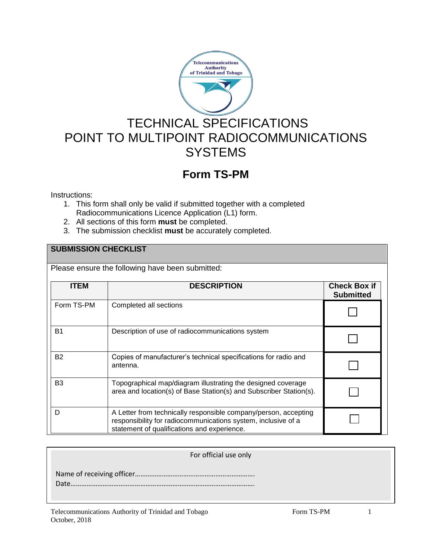

# TECHNICAL SPECIFICATIONS POINT TO MULTIPOINT RADIOCOMMUNICATIONS **SYSTEMS**

# **Form TS-PM**

Instructions:

- 1. This form shall only be valid if submitted together with a completed Radiocommunications Licence Application (L1) form.
- 2. All sections of this form **must** be completed.
- 3. The submission checklist **must** be accurately completed.

### **SUBMISSION CHECKLIST**

Please ensure the following have been submitted:

| <b>ITEM</b>    | <b>DESCRIPTION</b>                                                                                                                                                              | <b>Check Box if</b><br><b>Submitted</b> |
|----------------|---------------------------------------------------------------------------------------------------------------------------------------------------------------------------------|-----------------------------------------|
| Form TS-PM     | Completed all sections                                                                                                                                                          |                                         |
| <b>B1</b>      | Description of use of radiocommunications system                                                                                                                                |                                         |
| <b>B2</b>      | Copies of manufacturer's technical specifications for radio and<br>antenna.                                                                                                     |                                         |
| B <sub>3</sub> | Topographical map/diagram illustrating the designed coverage<br>area and location(s) of Base Station(s) and Subscriber Station(s).                                              |                                         |
| D              | A Letter from technically responsible company/person, accepting<br>responsibility for radiocommunications system, inclusive of a<br>statement of qualifications and experience. |                                         |

#### For official use only

 Name of receiving officer…………………………………………………………. Date………………………………………………………………………………………….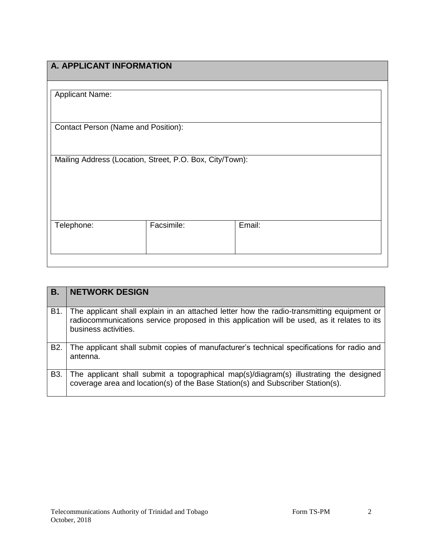| A. APPLICANT INFORMATION                                 |            |        |
|----------------------------------------------------------|------------|--------|
|                                                          |            |        |
|                                                          |            |        |
|                                                          |            |        |
| <b>Applicant Name:</b>                                   |            |        |
|                                                          |            |        |
|                                                          |            |        |
|                                                          |            |        |
| Contact Person (Name and Position):                      |            |        |
|                                                          |            |        |
|                                                          |            |        |
| Mailing Address (Location, Street, P.O. Box, City/Town): |            |        |
|                                                          |            |        |
|                                                          |            |        |
|                                                          |            |        |
|                                                          |            |        |
|                                                          |            |        |
|                                                          |            |        |
| Telephone:                                               | Facsimile: | Email: |
|                                                          |            |        |
|                                                          |            |        |
|                                                          |            |        |
|                                                          |            |        |
|                                                          |            |        |

| В.               | <b>NETWORK DESIGN</b>                                                                                                                                                                                            |
|------------------|------------------------------------------------------------------------------------------------------------------------------------------------------------------------------------------------------------------|
| B1.              | The applicant shall explain in an attached letter how the radio-transmitting equipment or<br>radiocommunications service proposed in this application will be used, as it relates to its<br>business activities. |
| B <sub>2</sub> . | The applicant shall submit copies of manufacturer's technical specifications for radio and<br>antenna.                                                                                                           |
| B <sub>3</sub> . | The applicant shall submit a topographical map(s)/diagram(s) illustrating the designed<br>coverage area and location(s) of the Base Station(s) and Subscriber Station(s).                                        |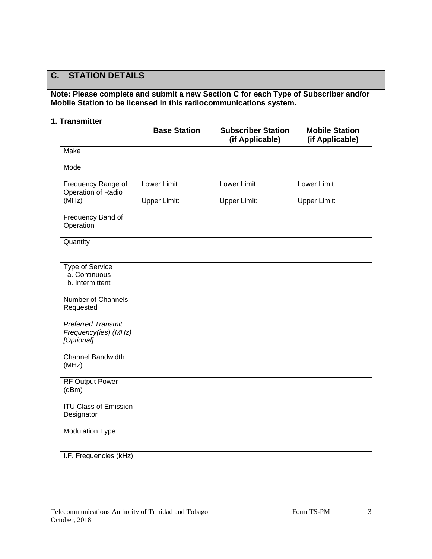### **C. STATION DETAILS**

### **Note: Please complete and submit a new Section C for each Type of Subscriber and/or Mobile Station to be licensed in this radiocommunications system.**

### **1. Transmitter**

|                                                                 | <b>Base Station</b> | <b>Subscriber Station</b><br>(if Applicable) | <b>Mobile Station</b><br>(if Applicable) |
|-----------------------------------------------------------------|---------------------|----------------------------------------------|------------------------------------------|
| <b>Make</b>                                                     |                     |                                              |                                          |
| Model                                                           |                     |                                              |                                          |
| Frequency Range of<br>Operation of Radio                        | Lower Limit:        | Lower Limit:                                 | Lower Limit:                             |
| (MHz)                                                           | <b>Upper Limit:</b> | <b>Upper Limit:</b>                          | <b>Upper Limit:</b>                      |
| Frequency Band of<br>Operation                                  |                     |                                              |                                          |
| Quantity                                                        |                     |                                              |                                          |
| Type of Service<br>a. Continuous<br>b. Intermittent             |                     |                                              |                                          |
| Number of Channels<br>Requested                                 |                     |                                              |                                          |
| <b>Preferred Transmit</b><br>Frequency(ies) (MHz)<br>[Optional] |                     |                                              |                                          |
| <b>Channel Bandwidth</b><br>(MHz)                               |                     |                                              |                                          |
| <b>RF Output Power</b><br>(dBm)                                 |                     |                                              |                                          |
| <b>ITU Class of Emission</b><br>Designator                      |                     |                                              |                                          |
| <b>Modulation Type</b>                                          |                     |                                              |                                          |
| I.F. Frequencies (kHz)                                          |                     |                                              |                                          |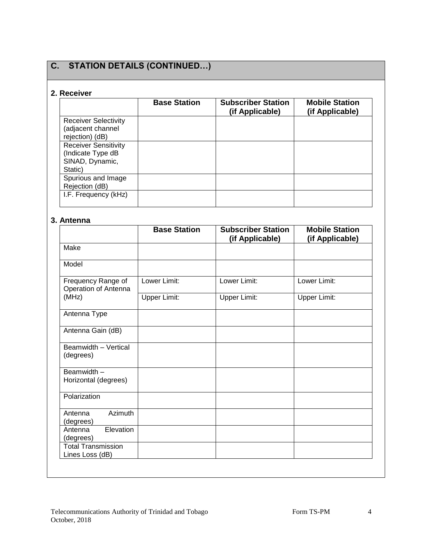## **C. STATION DETAILS (CONTINUED…)**

### **2. Receiver**

|                                                                                | <b>Base Station</b> | <b>Subscriber Station</b><br>(if Applicable) | <b>Mobile Station</b><br>(if Applicable) |
|--------------------------------------------------------------------------------|---------------------|----------------------------------------------|------------------------------------------|
| <b>Receiver Selectivity</b><br>(adjacent channel<br>rejection) (dB)            |                     |                                              |                                          |
| <b>Receiver Sensitivity</b><br>(Indicate Type dB<br>SINAD, Dynamic,<br>Static) |                     |                                              |                                          |
| Spurious and Image<br>Rejection (dB)                                           |                     |                                              |                                          |
| I.F. Frequency (kHz)                                                           |                     |                                              |                                          |

### **3. Antenna**

|                                              | <b>Base Station</b> | <b>Subscriber Station</b><br>(if Applicable) | <b>Mobile Station</b><br>(if Applicable) |
|----------------------------------------------|---------------------|----------------------------------------------|------------------------------------------|
| Make                                         |                     |                                              |                                          |
| Model                                        |                     |                                              |                                          |
| Frequency Range of<br>Operation of Antenna   | Lower Limit:        | Lower Limit:                                 | Lower Limit:                             |
| (MHz)                                        | <b>Upper Limit:</b> | <b>Upper Limit:</b>                          | <b>Upper Limit:</b>                      |
| Antenna Type                                 |                     |                                              |                                          |
| Antenna Gain (dB)                            |                     |                                              |                                          |
| Beamwidth - Vertical<br>(degrees)            |                     |                                              |                                          |
| Beamwidth -<br>Horizontal (degrees)          |                     |                                              |                                          |
| Polarization                                 |                     |                                              |                                          |
| Azimuth<br>Antenna<br>(degrees)              |                     |                                              |                                          |
| Elevation<br>Antenna<br>(degrees)            |                     |                                              |                                          |
| <b>Total Transmission</b><br>Lines Loss (dB) |                     |                                              |                                          |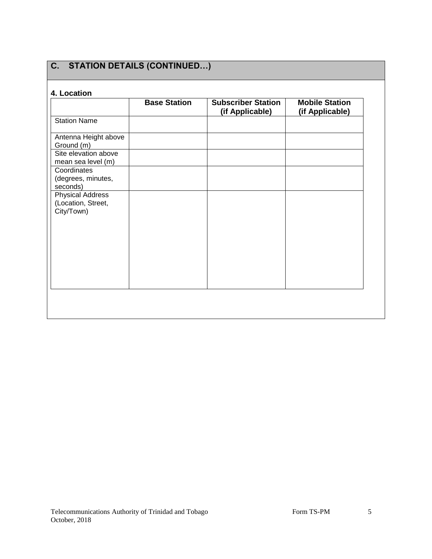## **C. STATION DETAILS (CONTINUED…)**

### **4. Location**

|                                                             | <b>Base Station</b> | <b>Subscriber Station</b><br>(if Applicable) | <b>Mobile Station</b><br>(if Applicable) |
|-------------------------------------------------------------|---------------------|----------------------------------------------|------------------------------------------|
| <b>Station Name</b>                                         |                     |                                              |                                          |
| Antenna Height above<br>Ground (m)                          |                     |                                              |                                          |
| Site elevation above<br>mean sea level (m)                  |                     |                                              |                                          |
| Coordinates<br>(degrees, minutes,<br>seconds)               |                     |                                              |                                          |
| <b>Physical Address</b><br>(Location, Street,<br>City/Town) |                     |                                              |                                          |
|                                                             |                     |                                              |                                          |
|                                                             |                     |                                              |                                          |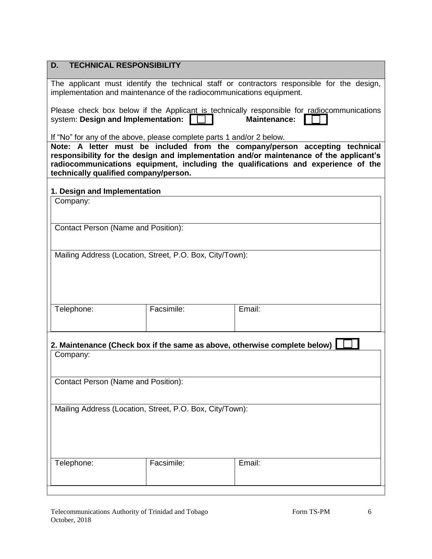| <b>TECHNICAL RESPONSIBILITY</b><br>D.                                                                                                                              |                                                                                                                                                         |                                                                                                                                                                                                                                                            |  |  |  |
|--------------------------------------------------------------------------------------------------------------------------------------------------------------------|---------------------------------------------------------------------------------------------------------------------------------------------------------|------------------------------------------------------------------------------------------------------------------------------------------------------------------------------------------------------------------------------------------------------------|--|--|--|
| The applicant must identify the technical staff or contractors responsible for the design,<br>implementation and maintenance of the radiocommunications equipment. |                                                                                                                                                         |                                                                                                                                                                                                                                                            |  |  |  |
|                                                                                                                                                                    | Please check box below if the Applicant is technically responsible for radiocommunications<br>system: Design and Implementation:<br><b>Maintenance:</b> |                                                                                                                                                                                                                                                            |  |  |  |
| If "No" for any of the above, please complete parts 1 and/or 2 below.                                                                                              |                                                                                                                                                         |                                                                                                                                                                                                                                                            |  |  |  |
| technically qualified company/person.                                                                                                                              |                                                                                                                                                         | Note: A letter must be included from the company/person accepting technical<br>responsibility for the design and implementation and/or maintenance of the applicant's<br>radiocommunications equipment, including the qualifications and experience of the |  |  |  |
| 1. Design and Implementation                                                                                                                                       |                                                                                                                                                         |                                                                                                                                                                                                                                                            |  |  |  |
| Company:                                                                                                                                                           |                                                                                                                                                         |                                                                                                                                                                                                                                                            |  |  |  |
|                                                                                                                                                                    |                                                                                                                                                         |                                                                                                                                                                                                                                                            |  |  |  |
| <b>Contact Person (Name and Position):</b>                                                                                                                         |                                                                                                                                                         |                                                                                                                                                                                                                                                            |  |  |  |
|                                                                                                                                                                    |                                                                                                                                                         |                                                                                                                                                                                                                                                            |  |  |  |
| Mailing Address (Location, Street, P.O. Box, City/Town):                                                                                                           |                                                                                                                                                         |                                                                                                                                                                                                                                                            |  |  |  |
|                                                                                                                                                                    |                                                                                                                                                         |                                                                                                                                                                                                                                                            |  |  |  |
|                                                                                                                                                                    |                                                                                                                                                         |                                                                                                                                                                                                                                                            |  |  |  |
|                                                                                                                                                                    |                                                                                                                                                         |                                                                                                                                                                                                                                                            |  |  |  |
| Telephone:                                                                                                                                                         | Facsimile:                                                                                                                                              | Email:                                                                                                                                                                                                                                                     |  |  |  |
|                                                                                                                                                                    |                                                                                                                                                         |                                                                                                                                                                                                                                                            |  |  |  |
|                                                                                                                                                                    |                                                                                                                                                         | 2. Maintenance (Check box if the same as above, otherwise complete below)                                                                                                                                                                                  |  |  |  |
| Company:                                                                                                                                                           |                                                                                                                                                         |                                                                                                                                                                                                                                                            |  |  |  |
|                                                                                                                                                                    |                                                                                                                                                         |                                                                                                                                                                                                                                                            |  |  |  |
| Contact Person (Name and Position):                                                                                                                                |                                                                                                                                                         |                                                                                                                                                                                                                                                            |  |  |  |
|                                                                                                                                                                    |                                                                                                                                                         |                                                                                                                                                                                                                                                            |  |  |  |
| Mailing Address (Location, Street, P.O. Box, City/Town):                                                                                                           |                                                                                                                                                         |                                                                                                                                                                                                                                                            |  |  |  |
|                                                                                                                                                                    |                                                                                                                                                         |                                                                                                                                                                                                                                                            |  |  |  |
|                                                                                                                                                                    |                                                                                                                                                         |                                                                                                                                                                                                                                                            |  |  |  |
|                                                                                                                                                                    |                                                                                                                                                         |                                                                                                                                                                                                                                                            |  |  |  |
| Telephone:                                                                                                                                                         | Facsimile:                                                                                                                                              | Email:                                                                                                                                                                                                                                                     |  |  |  |
|                                                                                                                                                                    |                                                                                                                                                         |                                                                                                                                                                                                                                                            |  |  |  |